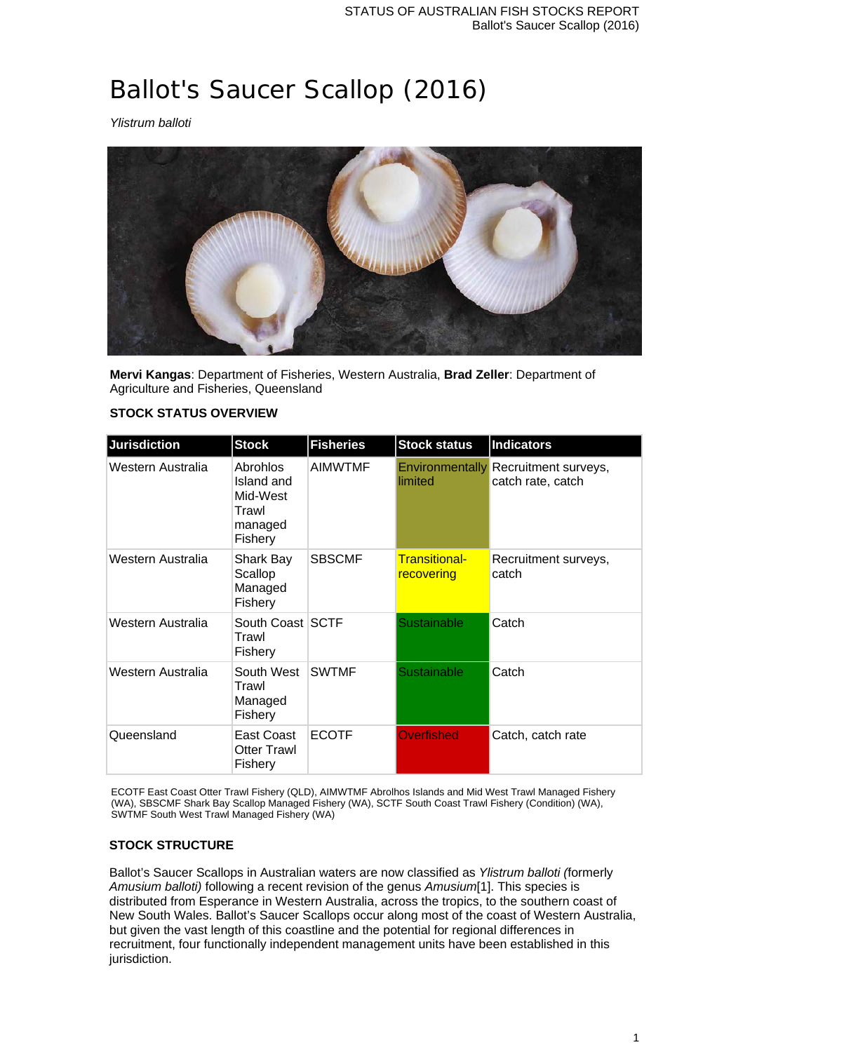# Ballot's Saucer Scallop (2016)

*Ylistrum balloti*



**Mervi Kangas**: Department of Fisheries, Western Australia, **Brad Zeller**: Department of Agriculture and Fisheries, Queensland

## **STOCK STATUS OVERVIEW**

| <b>Jurisdiction</b> | <b>Stock</b>                                                      | <b>Fisheries</b> | <b>Stock status</b>         | <b>Indicators</b>                                         |
|---------------------|-------------------------------------------------------------------|------------------|-----------------------------|-----------------------------------------------------------|
| Western Australia   | Abrohlos<br>Island and<br>Mid-West<br>Trawl<br>managed<br>Fishery | <b>AIMWTMF</b>   | limited                     | Environmentally Recruitment surveys,<br>catch rate, catch |
| Western Australia   | Shark Bay<br>Scallop<br>Managed<br>Fishery                        | <b>SBSCMF</b>    | Transitional-<br>recovering | Recruitment surveys,<br>catch                             |
| Western Australia   | South Coast SCTF<br>Trawl<br><b>Fishery</b>                       |                  | Sustainable                 | Catch                                                     |
| Western Australia   | South West<br>Trawl<br>Managed<br>Fishery                         | <b>SWTMF</b>     | Sustainable                 | Catch                                                     |
| Queensland          | East Coast<br><b>Otter Trawl</b><br>Fishery                       | <b>ECOTF</b>     | <b>Overfished</b>           | Catch, catch rate                                         |

ECOTF East Coast Otter Trawl Fishery (QLD), AIMWTMF Abrolhos Islands and Mid West Trawl Managed Fishery (WA), SBSCMF Shark Bay Scallop Managed Fishery (WA), SCTF South Coast Trawl Fishery (Condition) (WA), SWTMF South West Trawl Managed Fishery (WA)

## **STOCK STRUCTURE**

Ballot's Saucer Scallops in Australian waters are now classified as *Ylistrum balloti (*formerly *Amusium balloti)* following a recent revision of the genus *Amusium*[1]. This species is distributed from Esperance in Western Australia, across the tropics, to the southern coast of New South Wales. Ballot's Saucer Scallops occur along most of the coast of Western Australia, but given the vast length of this coastline and the potential for regional differences in recruitment, four functionally independent management units have been established in this jurisdiction.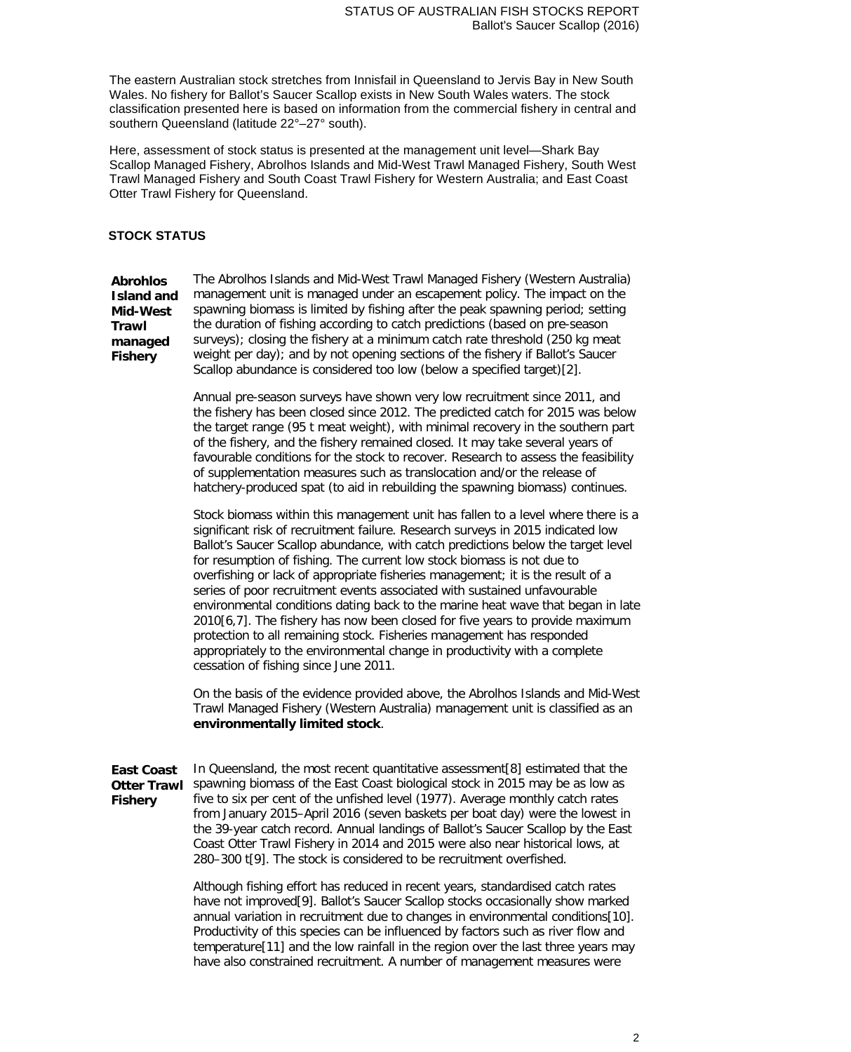The eastern Australian stock stretches from Innisfail in Queensland to Jervis Bay in New South Wales. No fishery for Ballot's Saucer Scallop exists in New South Wales waters. The stock classification presented here is based on information from the commercial fishery in central and southern Queensland (latitude 22°–27° south).

Here, assessment of stock status is presented at the management unit level—Shark Bay Scallop Managed Fishery, Abrolhos Islands and Mid-West Trawl Managed Fishery, South West Trawl Managed Fishery and South Coast Trawl Fishery for Western Australia; and East Coast Otter Trawl Fishery for Queensland.

#### **STOCK STATUS**

**Abrohlos Island and Mid-West Trawl managed Fishery** The Abrolhos Islands and Mid-West Trawl Managed Fishery (Western Australia) management unit is managed under an escapement policy. The impact on the spawning biomass is limited by fishing after the peak spawning period; setting the duration of fishing according to catch predictions (based on pre-season surveys); closing the fishery at a minimum catch rate threshold (250 kg meat weight per day); and by not opening sections of the fishery if Ballot's Saucer Scallop abundance is considered too low (below a specified target)[2].

> Annual pre-season surveys have shown very low recruitment since 2011, and the fishery has been closed since 2012. The predicted catch for 2015 was below the target range (95 t meat weight), with minimal recovery in the southern part of the fishery, and the fishery remained closed. It may take several years of favourable conditions for the stock to recover. Research to assess the feasibility of supplementation measures such as translocation and/or the release of hatchery-produced spat (to aid in rebuilding the spawning biomass) continues.

Stock biomass within this management unit has fallen to a level where there is a significant risk of recruitment failure. Research surveys in 2015 indicated low Ballot's Saucer Scallop abundance, with catch predictions below the target level for resumption of fishing. The current low stock biomass is not due to overfishing or lack of appropriate fisheries management; it is the result of a series of poor recruitment events associated with sustained unfavourable environmental conditions dating back to the marine heat wave that began in late 2010[6,7]. The fishery has now been closed for five years to provide maximum protection to all remaining stock. Fisheries management has responded appropriately to the environmental change in productivity with a complete cessation of fishing since June 2011.

On the basis of the evidence provided above, the Abrolhos Islands and Mid-West Trawl Managed Fishery (Western Australia) management unit is classified as an **environmentally limited stock**.

**East Coast Otter Trawl Fishery** In Queensland, the most recent quantitative assessment[8] estimated that the spawning biomass of the East Coast biological stock in 2015 may be as low as five to six per cent of the unfished level (1977). Average monthly catch rates from January 2015–April 2016 (seven baskets per boat day) were the lowest in the 39-year catch record. Annual landings of Ballot's Saucer Scallop by the East Coast Otter Trawl Fishery in 2014 and 2015 were also near historical lows, at 280–300 t[9]. The stock is considered to be recruitment overfished.

> Although fishing effort has reduced in recent years, standardised catch rates have not improved[9]. Ballot's Saucer Scallop stocks occasionally show marked annual variation in recruitment due to changes in environmental conditions[10]. Productivity of this species can be influenced by factors such as river flow and temperature[11] and the low rainfall in the region over the last three years may have also constrained recruitment. A number of management measures were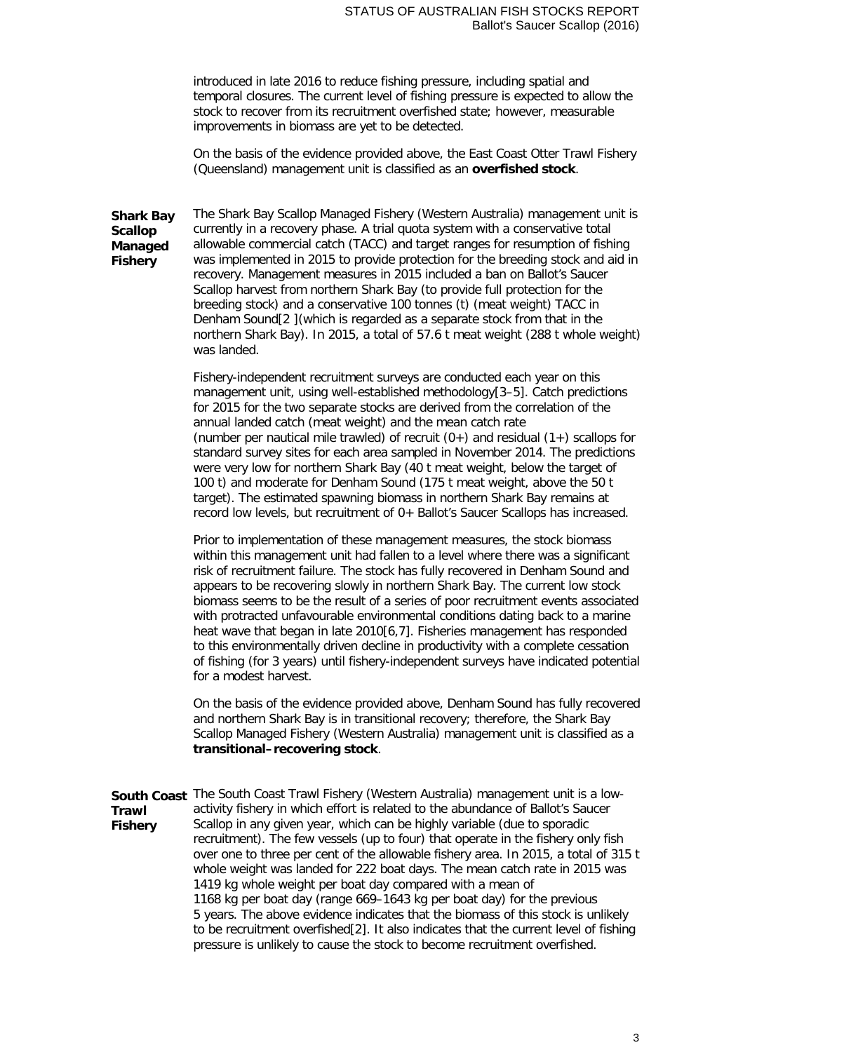#### STATUS OF AUSTRALIAN FISH STOCKS REPORT Ballot's Saucer Scallop (2016)

introduced in late 2016 to reduce fishing pressure, including spatial and temporal closures. The current level of fishing pressure is expected to allow the stock to recover from its recruitment overfished state; however, measurable improvements in biomass are yet to be detected.

On the basis of the evidence provided above, the East Coast Otter Trawl Fishery (Queensland) management unit is classified as an **overfished stock**.

**Shark Bay Scallop Managed Fishery** The Shark Bay Scallop Managed Fishery (Western Australia) management unit is currently in a recovery phase. A trial quota system with a conservative total allowable commercial catch (TACC) and target ranges for resumption of fishing was implemented in 2015 to provide protection for the breeding stock and aid in recovery. Management measures in 2015 included a ban on Ballot's Saucer Scallop harvest from northern Shark Bay (to provide full protection for the breeding stock) and a conservative 100 tonnes (t) (meat weight) TACC in Denham Sound[2 ](which is regarded as a separate stock from that in the northern Shark Bay). In 2015, a total of 57.6 t meat weight (288 t whole weight) was landed.

> Fishery-independent recruitment surveys are conducted each year on this management unit, using well-established methodology[3–5]. Catch predictions for 2015 for the two separate stocks are derived from the correlation of the annual landed catch (meat weight) and the mean catch rate (number per nautical mile trawled) of recruit  $(0+)$  and residual  $(1+)$  scallops for standard survey sites for each area sampled in November 2014. The predictions were very low for northern Shark Bay (40 t meat weight, below the target of 100 t) and moderate for Denham Sound (175 t meat weight, above the 50 t target). The estimated spawning biomass in northern Shark Bay remains at record low levels, but recruitment of 0+ Ballot's Saucer Scallops has increased.

Prior to implementation of these management measures, the stock biomass within this management unit had fallen to a level where there was a significant risk of recruitment failure. The stock has fully recovered in Denham Sound and appears to be recovering slowly in northern Shark Bay. The current low stock biomass seems to be the result of a series of poor recruitment events associated with protracted unfavourable environmental conditions dating back to a marine heat wave that began in late 2010[6,7]. Fisheries management has responded to this environmentally driven decline in productivity with a complete cessation of fishing (for 3 years) until fishery-independent surveys have indicated potential for a modest harvest.

On the basis of the evidence provided above, Denham Sound has fully recovered and northern Shark Bay is in transitional recovery; therefore, the Shark Bay Scallop Managed Fishery (Western Australia) management unit is classified as a **transitional–recovering stock**.

**South Coast**  The South Coast Trawl Fishery (Western Australia) management unit is a low-**Trawl Fishery** activity fishery in which effort is related to the abundance of Ballot's Saucer Scallop in any given year, which can be highly variable (due to sporadic recruitment). The few vessels (up to four) that operate in the fishery only fish over one to three per cent of the allowable fishery area. In 2015, a total of 315 t whole weight was landed for 222 boat days. The mean catch rate in 2015 was 1419 kg whole weight per boat day compared with a mean of 1168 kg per boat day (range 669–1643 kg per boat day) for the previous 5 years. The above evidence indicates that the biomass of this stock is unlikely to be recruitment overfished[2]. It also indicates that the current level of fishing pressure is unlikely to cause the stock to become recruitment overfished.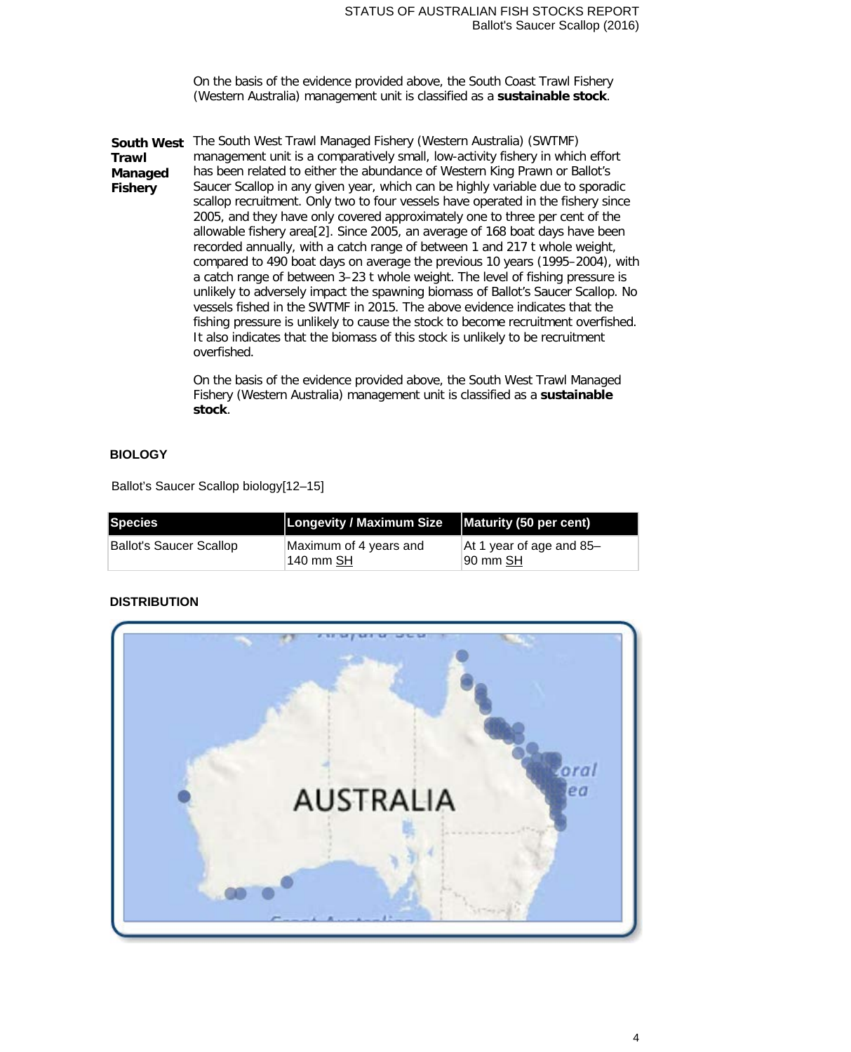On the basis of the evidence provided above, the South Coast Trawl Fishery (Western Australia) management unit is classified as a **sustainable stock**.

**South West**  The South West Trawl Managed Fishery (Western Australia) (SWTMF) **Trawl Managed Fishery** management unit is a comparatively small, low-activity fishery in which effort has been related to either the abundance of Western King Prawn or Ballot's Saucer Scallop in any given year, which can be highly variable due to sporadic scallop recruitment. Only two to four vessels have operated in the fishery since 2005, and they have only covered approximately one to three per cent of the allowable fishery area[2]. Since 2005, an average of 168 boat days have been recorded annually, with a catch range of between 1 and 217 t whole weight, compared to 490 boat days on average the previous 10 years (1995–2004), with a catch range of between 3–23 t whole weight. The level of fishing pressure is unlikely to adversely impact the spawning biomass of Ballot's Saucer Scallop. No vessels fished in the SWTMF in 2015. The above evidence indicates that the fishing pressure is unlikely to cause the stock to become recruitment overfished. It also indicates that the biomass of this stock is unlikely to be recruitment overfished.

> On the basis of the evidence provided above, the South West Trawl Managed Fishery (Western Australia) management unit is classified as a **sustainable stock**.

## **BIOLOGY**

Ballot's Saucer Scallop biology[12–15]

| Species                 | Longevity / Maximum Size   Maturity (50 per cent) |                                          |
|-------------------------|---------------------------------------------------|------------------------------------------|
| Ballot's Saucer Scallop | Maximum of 4 years and<br> 140 mm SH              | $ $ At 1 year of age and 85-<br>90 mm SH |

## **DISTRIBUTION**



4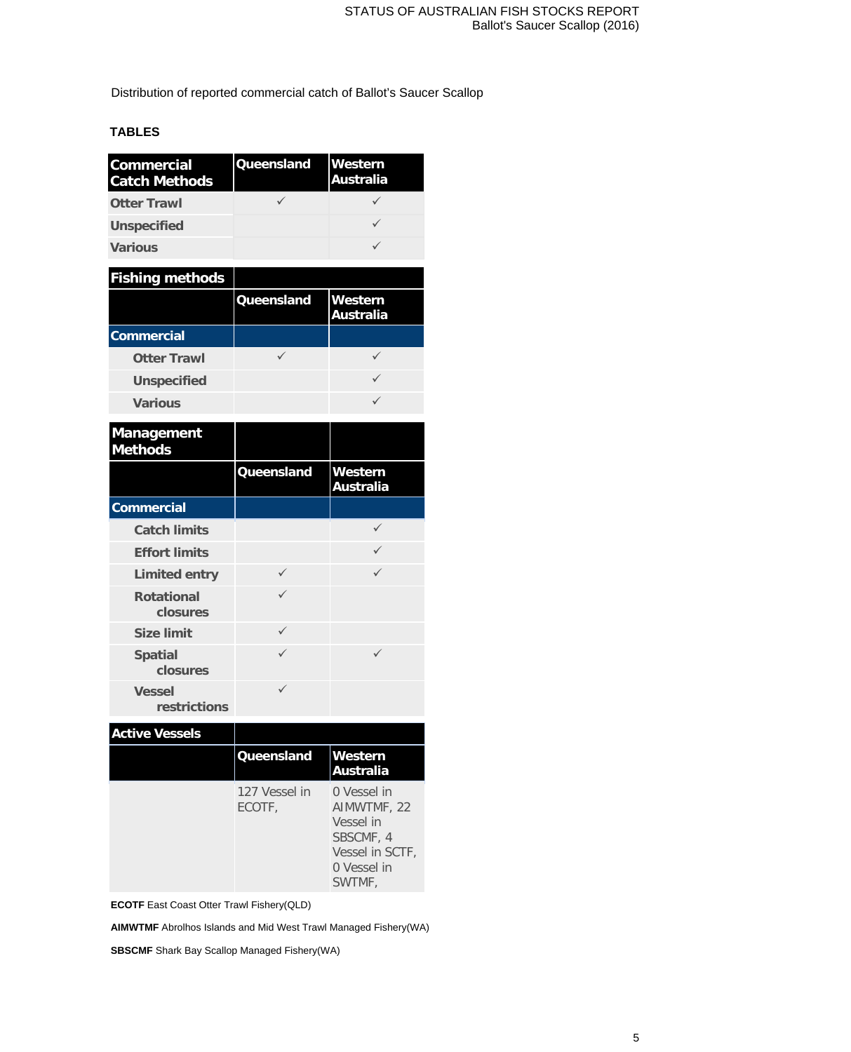Distribution of reported commercial catch of Ballot's Saucer Scallop

# **TABLES**

| <b>Commercial</b><br><b>Catch Methods</b> | Queensland        | Western<br><b>Australia</b> |
|-------------------------------------------|-------------------|-----------------------------|
| <b>Otter Trawl</b>                        | $\checkmark$      | $\checkmark$                |
| <b>Unspecified</b>                        |                   | ✓                           |
| <b>Various</b>                            |                   | $\checkmark$                |
| <b>Fishing methods</b>                    |                   |                             |
|                                           | Queensland        | Western<br><b>Australia</b> |
| <b>Commercial</b>                         |                   |                             |
| <b>Otter Trawl</b>                        | $\checkmark$      | $\checkmark$                |
| <b>Unspecified</b>                        |                   | ✓                           |
| <b>Various</b>                            |                   | $\checkmark$                |
| Management<br><b>Methods</b>              |                   |                             |
|                                           | Queensland        | Western<br><b>Australia</b> |
| <b>Commercial</b>                         |                   |                             |
| <b>Catch limits</b>                       |                   | ✓                           |
| <b>Effort limits</b>                      |                   | $\checkmark$                |
| <b>Limited entry</b>                      | ✓                 | $\checkmark$                |
| <b>Rotational</b><br>closures             | $\checkmark$      |                             |
| <b>Size limit</b>                         | $\checkmark$      |                             |
| <b>Spatial</b><br>closures                | $\checkmark$      | $\checkmark$                |
|                                           | ✓                 |                             |
| <b>Vessel</b><br>restrictions             |                   |                             |
| <b>Active Vessels</b>                     |                   |                             |
|                                           | <b>Queensland</b> | Western<br><b>Australia</b> |

|               | lAustralia      |
|---------------|-----------------|
| 127 Vessel in | 0 Vessel in     |
| ECOTF,        | AIMWTMF, 22     |
|               | Vessel in       |
|               | SBSCMF, 4       |
|               | Vessel in SCTF, |
|               | 0 Vessel in     |
|               | SWTMF,          |

**ECOTF** East Coast Otter Trawl Fishery(QLD)

**AIMWTMF** Abrolhos Islands and Mid West Trawl Managed Fishery(WA)

**SBSCMF** Shark Bay Scallop Managed Fishery(WA)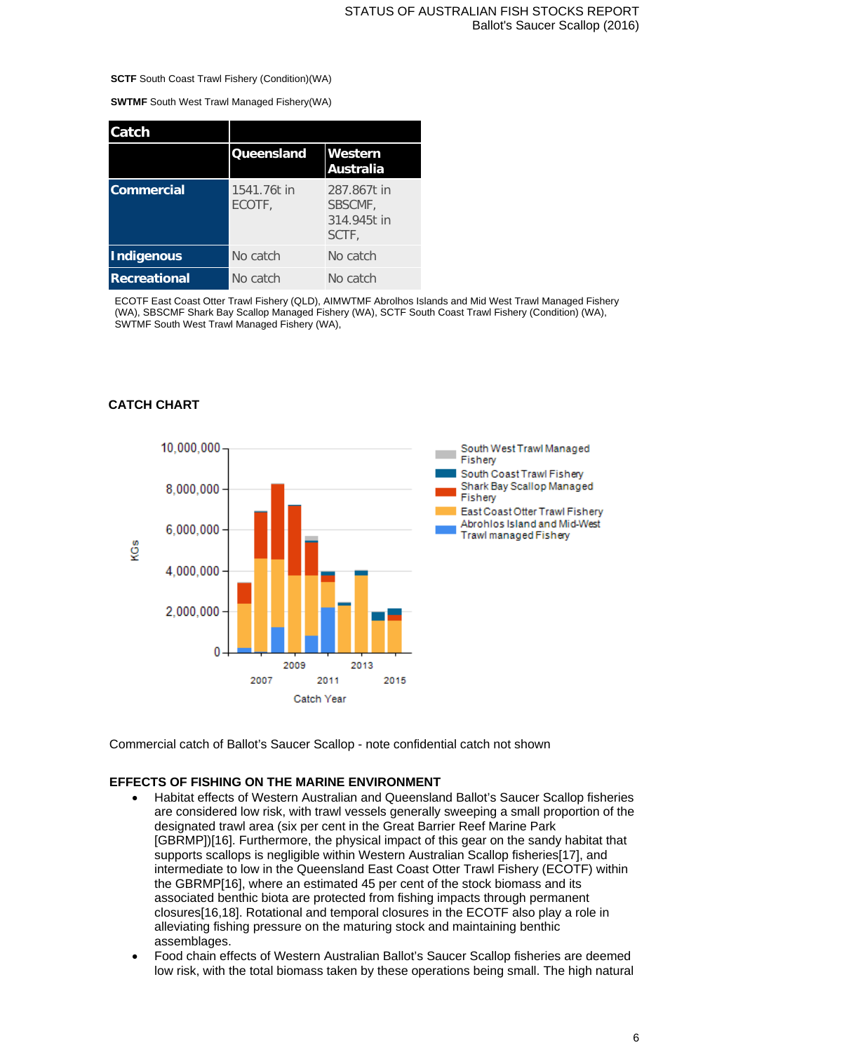#### **SCTF** South Coast Trawl Fishery (Condition)(WA)

**SWTMF** South West Trawl Managed Fishery(WA)

| Catch               |                       |                                                |
|---------------------|-----------------------|------------------------------------------------|
|                     | <b>Queensland</b>     | Western<br>Australia                           |
| <b>Commercial</b>   | 1541.76t in<br>ECOTF. | 287.867t in<br>SBSCMF,<br>314,945t in<br>SCTF, |
| Indigenous          | No catch              | No catch                                       |
| <b>Recreational</b> | No catch              | No catch                                       |

ECOTF East Coast Otter Trawl Fishery (QLD), AIMWTMF Abrolhos Islands and Mid West Trawl Managed Fishery (WA), SBSCMF Shark Bay Scallop Managed Fishery (WA), SCTF South Coast Trawl Fishery (Condition) (WA), SWTMF South West Trawl Managed Fishery (WA),

## **CATCH CHART**



Commercial catch of Ballot's Saucer Scallop - note confidential catch not shown

#### **EFFECTS OF FISHING ON THE MARINE ENVIRONMENT**

- Habitat effects of Western Australian and Queensland Ballot's Saucer Scallop fisheries are considered low risk, with trawl vessels generally sweeping a small proportion of the designated trawl area (six per cent in the Great Barrier Reef Marine Park [GBRMP])[16]. Furthermore, the physical impact of this gear on the sandy habitat that supports scallops is negligible within Western Australian Scallop fisheries[17], and intermediate to low in the Queensland East Coast Otter Trawl Fishery (ECOTF) within the GBRMP[16], where an estimated 45 per cent of the stock biomass and its associated benthic biota are protected from fishing impacts through permanent closures[16,18]. Rotational and temporal closures in the ECOTF also play a role in alleviating fishing pressure on the maturing stock and maintaining benthic assemblages.
- Food chain effects of Western Australian Ballot's Saucer Scallop fisheries are deemed low risk, with the total biomass taken by these operations being small. The high natural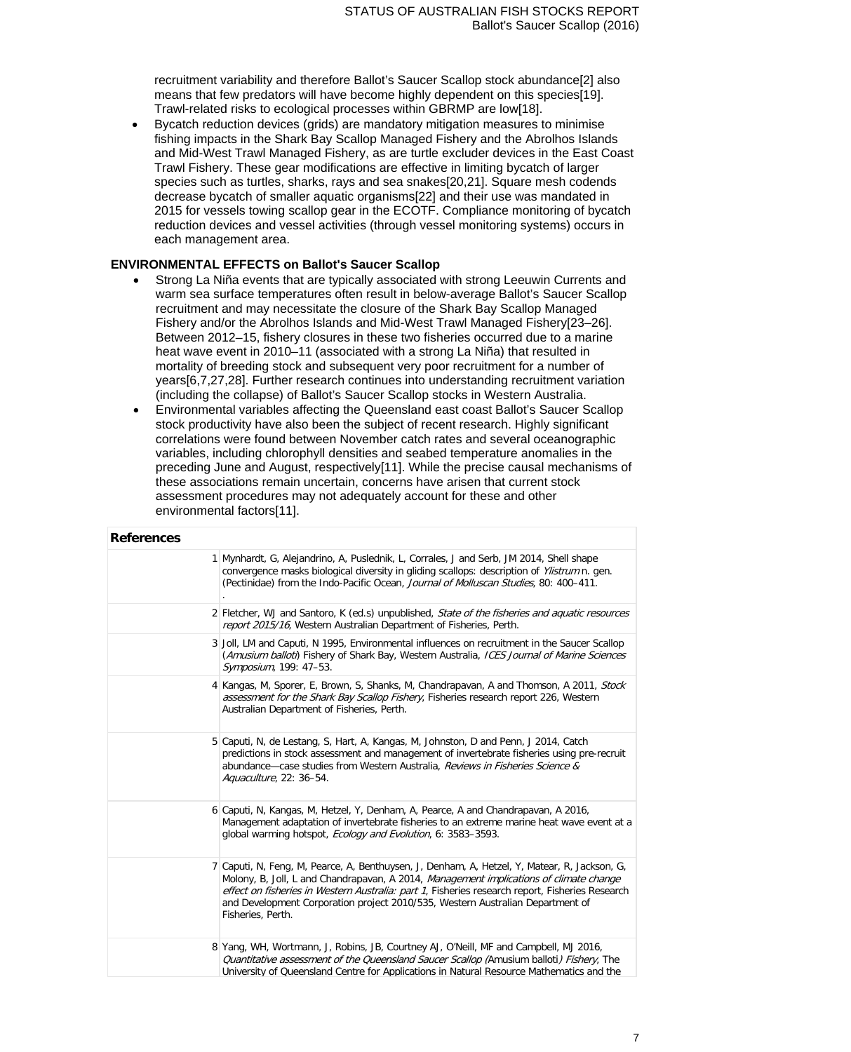recruitment variability and therefore Ballot's Saucer Scallop stock abundance[2] also means that few predators will have become highly dependent on this species[19]. Trawl-related risks to ecological processes within GBRMP are low[18].

• Bycatch reduction devices (grids) are mandatory mitigation measures to minimise fishing impacts in the Shark Bay Scallop Managed Fishery and the Abrolhos Islands and Mid-West Trawl Managed Fishery, as are turtle excluder devices in the East Coast Trawl Fishery. These gear modifications are effective in limiting bycatch of larger species such as turtles, sharks, rays and sea snakes[20,21]. Square mesh codends decrease bycatch of smaller aquatic organisms[22] and their use was mandated in 2015 for vessels towing scallop gear in the ECOTF. Compliance monitoring of bycatch reduction devices and vessel activities (through vessel monitoring systems) occurs in each management area.

#### **ENVIRONMENTAL EFFECTS on Ballot's Saucer Scallop**

- Strong La Niña events that are typically associated with strong Leeuwin Currents and warm sea surface temperatures often result in below-average Ballot's Saucer Scallop recruitment and may necessitate the closure of the Shark Bay Scallop Managed Fishery and/or the Abrolhos Islands and Mid-West Trawl Managed Fishery[23–26]. Between 2012–15, fishery closures in these two fisheries occurred due to a marine heat wave event in 2010–11 (associated with a strong La Niña) that resulted in mortality of breeding stock and subsequent very poor recruitment for a number of years[6,7,27,28]. Further research continues into understanding recruitment variation (including the collapse) of Ballot's Saucer Scallop stocks in Western Australia.
- Environmental variables affecting the Queensland east coast Ballot's Saucer Scallop stock productivity have also been the subject of recent research. Highly significant correlations were found between November catch rates and several oceanographic variables, including chlorophyll densities and seabed temperature anomalies in the preceding June and August, respectively[11]. While the precise causal mechanisms of these associations remain uncertain, concerns have arisen that current stock assessment procedures may not adequately account for these and other environmental factors[11].

## **References** 1 [Mynhardt, G, Alejandrino, A, Puslednik, L, Corrales, J and Serb, JM 2014, Shell shape](http://dx.doi.org/10.1093/mollus/eyu038)  [convergence masks biological diversity in gliding scallops: description of](http://dx.doi.org/10.1093/mollus/eyu038) [Ylistrum](http://dx.doi.org/10.1093/mollus/eyu038) n. gen. [\(Pectinidae\) from the Indo-Pacific Ocean,](http://dx.doi.org/10.1093/mollus/eyu038) [Journal of Molluscan Studies](http://dx.doi.org/10.1093/mollus/eyu038), 80: 400-411. [.](http://dx.doi.org/10.1093/mollus/eyu038) 2 Fletcher, WJ and Santoro, K (ed.s) unpublished, State of the fisheries and aquatic resources report 2015/16, Western Australian Department of Fisheries, Perth. 3 Joll, LM and Caputi, N 1995, Environmental influences on recruitment in the Saucer Scallop (Amusium balloti) Fishery of Shark Bay, Western Australia, ICES Journal of Marine Sciences Symposium, 199: 47–53. 4 [Kangas, M, Sporer, E, Brown, S, Shanks, M, Chandrapavan, A and Thomson, A 2011,](http://www.fish.wa.gov.au/Documents/research_reports/frr226.pdf) Stock [assessment for the Shark Bay Scallop Fishery](http://www.fish.wa.gov.au/Documents/research_reports/frr226.pdf), Fisheries research report 226, Western [Australian Department of Fisheries, Perth.](http://www.fish.wa.gov.au/Documents/research_reports/frr226.pdf) 5 [Caputi, N, de Lestang, S, Hart, A, Kangas, M, Johnston, D and Penn, J 2014, Catch](http://dx.doi.org/10.1080/10641262.2013.832144)  [predictions in stock assessment and management of invertebrate fisheries using pre-recruit](http://dx.doi.org/10.1080/10641262.2013.832144)  abundance-case studies from Western Australia, Reviews in Fisheries Science & [Aquaculture](http://dx.doi.org/10.1080/10641262.2013.832144)[, 22: 36–54.](http://dx.doi.org/10.1080/10641262.2013.832144) 6 [Caputi, N, Kangas, M, Hetzel, Y, Denham, A, Pearce, A and Chandrapavan, A 2016,](http://onlinelibrary.wiley.com/doi/10.1002/ece3.2137/full)  [Management adaptation of invertebrate fisheries to an extreme marine heat wave event at a](http://onlinelibrary.wiley.com/doi/10.1002/ece3.2137/full)  [global warming hotspot,](http://onlinelibrary.wiley.com/doi/10.1002/ece3.2137/full) [Ecology and Evolution](http://onlinelibrary.wiley.com/doi/10.1002/ece3.2137/full), 6: 3583-3593. 7 [Caputi, N, Feng, M, Pearce, A, Benthuysen, J, Denham, A, Hetzel, Y, Matear, R, Jackson, G,](http://www.fish.wa.gov.au/Documents/research_reports/frr260.pdf)  [Molony, B, Joll, L and Chandrapavan, A 2014,](http://www.fish.wa.gov.au/Documents/research_reports/frr260.pdf) Management implications of climate change [effect on fisheries in Western Australia: part 1](http://www.fish.wa.gov.au/Documents/research_reports/frr260.pdf), Fisheries research report, Fisheries Research [and Development Corporation project 2010/535, Western Australian Department of](http://www.fish.wa.gov.au/Documents/research_reports/frr260.pdf)  [Fisheries, Perth.](http://www.fish.wa.gov.au/Documents/research_reports/frr260.pdf) 8 [Yang, WH, Wortmann, J, Robins, JB, Courtney AJ, O'Neill, MF and Campbell, MJ 2016,](http://era.daf.qld.gov.au/5478/)  Quantitative assessment of [the Queensland Saucer Scallop \(](http://era.daf.qld.gov.au/5478/)[Amusium balloti](http://era.daf.qld.gov.au/5478/)[\) Fishery](http://era.daf.qld.gov.au/5478/), The [University of Queensland Centre for Applications in Natural Resource Mathematics and the](http://era.daf.qld.gov.au/5478/)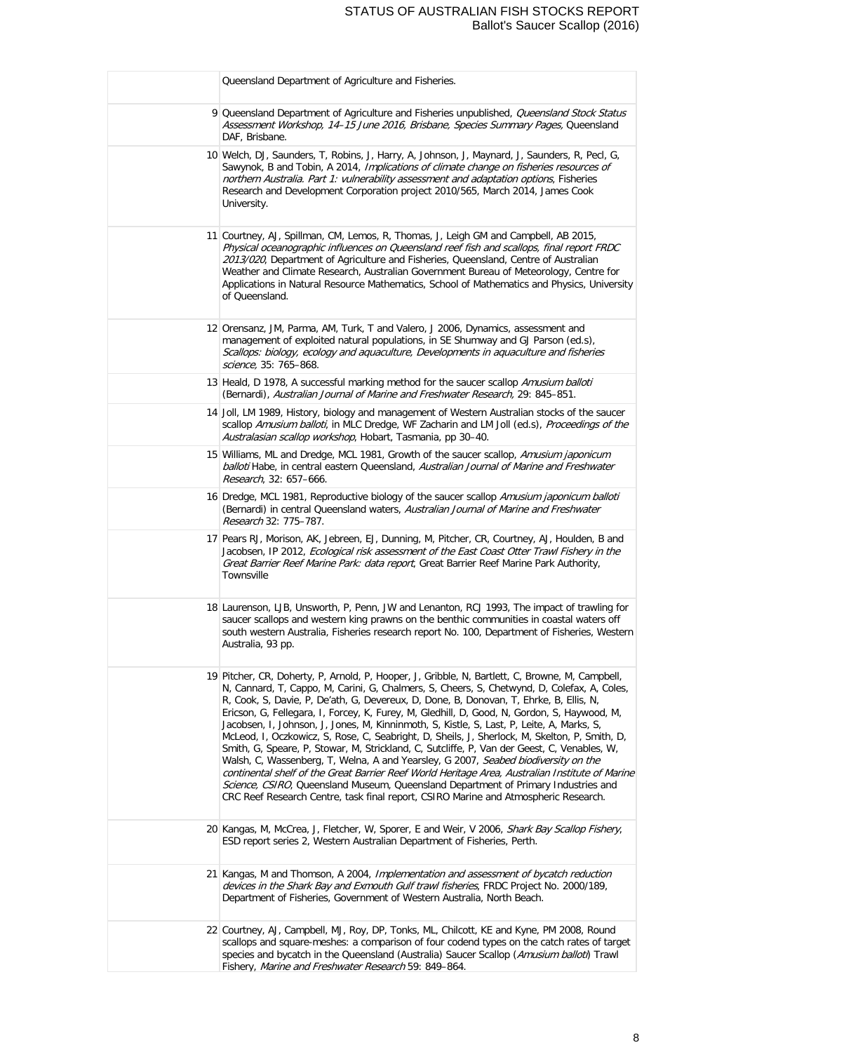## STATUS OF AUSTRALIAN FISH STOCKS REPORT Ballot's Saucer Scallop (2016)

| Queensland Department of Agriculture and Fisheries.                                                                                                                                                                                                                                                                                                                                                                                                                                                                                                                                                                                                                                                                                                                                                                                                                                                                                                                                                                                                        |
|------------------------------------------------------------------------------------------------------------------------------------------------------------------------------------------------------------------------------------------------------------------------------------------------------------------------------------------------------------------------------------------------------------------------------------------------------------------------------------------------------------------------------------------------------------------------------------------------------------------------------------------------------------------------------------------------------------------------------------------------------------------------------------------------------------------------------------------------------------------------------------------------------------------------------------------------------------------------------------------------------------------------------------------------------------|
| 9 Queensland Department of Agriculture and Fisheries unpublished, Queensland Stock Status<br>Assessment Workshop, 14-15 June 2016, Brisbane, Species Summary Pages, Queensland<br>DAF, Brisbane.                                                                                                                                                                                                                                                                                                                                                                                                                                                                                                                                                                                                                                                                                                                                                                                                                                                           |
| 10 Welch, DJ, Saunders, T, Robins, J, Harry, A, Johnson, J, Maynard, J, Saunders, R, Pecl, G,<br>Sawynok, B and Tobin, A 2014, Implications of climate change on fisheries resources of<br>northern Australia. Part 1: vulnerability assessment and adaptation options, Fisheries<br>Research and Development Corporation project 2010/565, March 2014, James Cook<br>University.                                                                                                                                                                                                                                                                                                                                                                                                                                                                                                                                                                                                                                                                          |
| 11 Courtney, AJ, Spillman, CM, Lemos, R, Thomas, J, Leigh GM and Campbell, AB 2015,<br>Physical oceanographic influences on Queensland reef fish and scallops, final report FRDC<br>2013/020, Department of Agriculture and Fisheries, Queensland, Centre of Australian<br>Weather and Climate Research, Australian Government Bureau of Meteorology, Centre for<br>Applications in Natural Resource Mathematics, School of Mathematics and Physics, University<br>of Queensland.                                                                                                                                                                                                                                                                                                                                                                                                                                                                                                                                                                          |
| 12 Orensanz, JM, Parma, AM, Turk, T and Valero, J 2006, Dynamics, assessment and<br>management of exploited natural populations, in SE Shumway and GJ Parson (ed.s),<br>Scallops: biology, ecology and aquaculture, Developments in aquaculture and fisheries<br>science, 35: 765-868.                                                                                                                                                                                                                                                                                                                                                                                                                                                                                                                                                                                                                                                                                                                                                                     |
| 13 Heald, D 1978, A successful marking method for the saucer scallop Amusium balloti<br>(Bernardi), Australian Journal of Marine and Freshwater Research, 29: 845-851.                                                                                                                                                                                                                                                                                                                                                                                                                                                                                                                                                                                                                                                                                                                                                                                                                                                                                     |
| 14 Joll, LM 1989, History, biology and management of Western Australian stocks of the saucer<br>scallop Amusium balloti, in MLC Dredge, WF Zacharin and LM Joll (ed.s), Proceedings of the<br>Australasian scallop workshop, Hobart, Tasmania, pp 30-40.                                                                                                                                                                                                                                                                                                                                                                                                                                                                                                                                                                                                                                                                                                                                                                                                   |
| 15 Williams, ML and Dredge, MCL 1981, Growth of the saucer scallop, Amusium japonicum<br>balloti Habe, in central eastern Queensland, Australian Journal of Marine and Freshwater<br>Research, 32: 657-666.                                                                                                                                                                                                                                                                                                                                                                                                                                                                                                                                                                                                                                                                                                                                                                                                                                                |
| 16 Dredge, MCL 1981, Reproductive biology of the saucer scallop Amusium japonicum balloti<br>(Bernardi) in central Queensland waters, Australian Journal of Marine and Freshwater<br>Research 32: 775-787.                                                                                                                                                                                                                                                                                                                                                                                                                                                                                                                                                                                                                                                                                                                                                                                                                                                 |
| 17 Pears RJ, Morison, AK, Jebreen, EJ, Dunning, M, Pitcher, CR, Courtney, AJ, Houlden, B and<br>Jacobsen, IP 2012, Ecological risk assessment of the East Coast Otter Trawl Fishery in the<br>Great Barrier Reef Marine Park: data report, Great Barrier Reef Marine Park Authority,<br>Townsville                                                                                                                                                                                                                                                                                                                                                                                                                                                                                                                                                                                                                                                                                                                                                         |
| 18 Laurenson, LJB, Unsworth, P, Penn, JW and Lenanton, RCJ 1993, The impact of trawling for<br>saucer scallops and western king prawns on the benthic communities in coastal waters off<br>south western Australia, Fisheries research report No. 100, Department of Fisheries, Western<br>Australia, 93 pp.                                                                                                                                                                                                                                                                                                                                                                                                                                                                                                                                                                                                                                                                                                                                               |
| 19 Pitcher, CR, Doherty, P, Arnold, P, Hooper, J, Gribble, N, Bartlett, C, Browne, M, Campbell,<br>N, Cannard, T, Cappo, M, Carini, G, Chalmers, S, Cheers, S, Chetwynd, D, Colefax, A, Coles,<br>R, Cook, S, Davie, P, De'ath, G, Devereux, D, Done, B, Donovan, T, Ehrke, B, Ellis, N,<br>Ericson, G, Fellegara, I, Forcey, K, Furey, M, Gledhill, D, Good, N, Gordon, S, Haywood, M,<br>Jacobsen, I, Johnson, J, Jones, M, Kinninmoth, S, Kistle, S, Last, P, Leite, A, Marks, S,<br>McLeod, I, Oczkowicz, S, Rose, C, Seabright, D, Sheils, J, Sherlock, M, Skelton, P, Smith, D,<br>Smith, G, Speare, P, Stowar, M, Strickland, C, Sutcliffe, P, Van der Geest, C, Venables, W,<br>Walsh, C, Wassenberg, T, Welna, A and Yearsley, G 2007, Seabed biodiversity on the<br>continental shelf of the Great Barrier Reef World Heritage Area, Australian Institute of Marine<br>Science, CSIRO, Queensland Museum, Queensland Department of Primary Industries and<br>CRC Reef Research Centre, task final report, CSIRO Marine and Atmospheric Research. |
| 20 Kangas, M, McCrea, J, Fletcher, W, Sporer, E and Weir, V 2006, Shark Bay Scallop Fishery,<br>ESD report series 2, Western Australian Department of Fisheries, Perth.                                                                                                                                                                                                                                                                                                                                                                                                                                                                                                                                                                                                                                                                                                                                                                                                                                                                                    |
| 21 Kangas, M and Thomson, A 2004, Implementation and assessment of bycatch reduction<br>devices in the Shark Bay and Exmouth Gulf trawl fisheries, FRDC Project No. 2000/189,<br>Department of Fisheries, Government of Western Australia, North Beach.                                                                                                                                                                                                                                                                                                                                                                                                                                                                                                                                                                                                                                                                                                                                                                                                    |
| 22 Courtney, AJ, Campbell, MJ, Roy, DP, Tonks, ML, Chilcott, KE and Kyne, PM 2008, Round<br>scallops and square-meshes: a comparison of four codend types on the catch rates of target<br>species and bycatch in the Queensland (Australia) Saucer Scallop (Amusium balloti) Trawl<br>Fishery, Marine and Freshwater Research 59: 849-864.                                                                                                                                                                                                                                                                                                                                                                                                                                                                                                                                                                                                                                                                                                                 |
|                                                                                                                                                                                                                                                                                                                                                                                                                                                                                                                                                                                                                                                                                                                                                                                                                                                                                                                                                                                                                                                            |